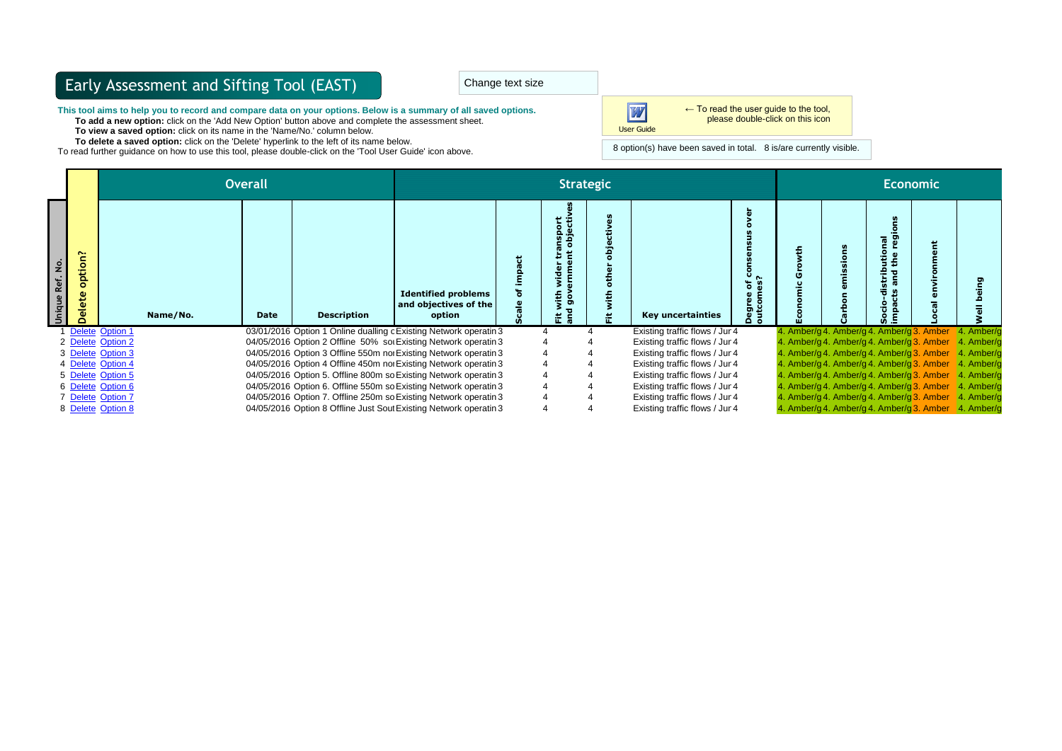|                    |              |                   | <b>Overall</b> | <b>Strategic</b>   |                                                                   |  |                                                                        |  |                                |  | <b>Economic</b>                           |  |                                           |  |                                                      |
|--------------------|--------------|-------------------|----------------|--------------------|-------------------------------------------------------------------|--|------------------------------------------------------------------------|--|--------------------------------|--|-------------------------------------------|--|-------------------------------------------|--|------------------------------------------------------|
| Ref. No.<br>Unique | option?<br>₹ | Name/No.          | <b>Date</b>    | <b>Description</b> | <b>Identified problems</b><br>and objectives of the<br>option     |  | ansport<br>objectiv<br>늘 끝<br>ၜႍႄ<br>wid<br>erni<br>vith<br>gov<br>운 효 |  | <b>Key uncertainties</b>       |  |                                           |  | $\equiv$<br>Ě                             |  | Ы                                                    |
|                    |              | Delete Option 1   |                |                    | 03/01/2016 Option 1 Online dualling c Existing Network operatin 3 |  |                                                                        |  | Existing traffic flows / Jur 4 |  | 4. Amber/g 4. Amber/g 4. Amber/g 3. Amber |  |                                           |  | 4. Amber/c                                           |
|                    |              | 2 Delete Option 2 |                |                    | 04/05/2016 Option 2 Offline 50% sol Existing Network operatin 3   |  |                                                                        |  | Existing traffic flows / Jur 4 |  | 4. Amber/g 4. Amber/g 4. Amber/g 3. Amber |  |                                           |  | 4. Amber/c                                           |
|                    |              | 3 Delete Option 3 |                |                    | 04/05/2016 Option 3 Offline 550m no Existing Network operatin 3   |  |                                                                        |  | Existing traffic flows / Jur 4 |  |                                           |  |                                           |  | 4. Amber/g 4. Amber/g 4. Amber/g 3. Amber 4. Amber/g |
|                    |              | 4 Delete Option 4 |                |                    | 04/05/2016 Option 4 Offline 450m noi Existing Network operatin 3  |  |                                                                        |  | Existing traffic flows / Jur 4 |  | 4. Amber/g 4. Amber/g 4. Amber/g 3. Amber |  |                                           |  | 4. Amber/c                                           |
|                    |              | 5 Delete Option 5 |                |                    | 04/05/2016 Option 5. Offline 800m so Existing Network operatin 3  |  |                                                                        |  | Existing traffic flows / Jur 4 |  | 4. Amber/g 4. Amber/g 4. Amber/g 3. Amber |  |                                           |  | 4. Amber/c                                           |
|                    |              | 6 Delete Option 6 |                |                    | 04/05/2016 Option 6. Offline 550m so Existing Network operatin 3  |  |                                                                        |  | Existing traffic flows / Jur 4 |  |                                           |  | 4. Amber/g 4. Amber/g 4. Amber/g 3. Amber |  | 4. Amber/c                                           |
|                    |              | 7 Delete Option 7 |                |                    | 04/05/2016 Option 7. Offline 250m so Existing Network operatin 3  |  |                                                                        |  | Existing traffic flows / Jur 4 |  |                                           |  |                                           |  | 4. Amber/g 4. Amber/g 4. Amber/g 3. Amber 4. Amber/g |
|                    |              | 8 Delete Option 8 |                |                    | 04/05/2016 Option 8 Offline Just Sout Existing Network operatin 3 |  |                                                                        |  | Existing traffic flows / Jur 4 |  |                                           |  |                                           |  | 4. Amber/g 4. Amber/g 4. Amber/g 3. Amber 4. Amber/g |

← To read the user guide to the tool, please double-click on this icon

8 option(s) have been saved in total. 8 is/are currently visible.

## Early Assessment and Sifting Tool (EAST) The Real of Change text size

**This tool aims to help you to record and compare data on your options. Below is a summary of all saved options.**

**To add a new option:** click on the 'Add New Option' button above and complete the assessment sheet.

**To view a saved option:** click on its name in the 'Name/No.' column below.

**To delete a saved option:** click on the 'Delete' hyperlink to the left of its name below.

To read further guidance on how to use this tool, please double-click on the 'Tool User Guide' icon above.